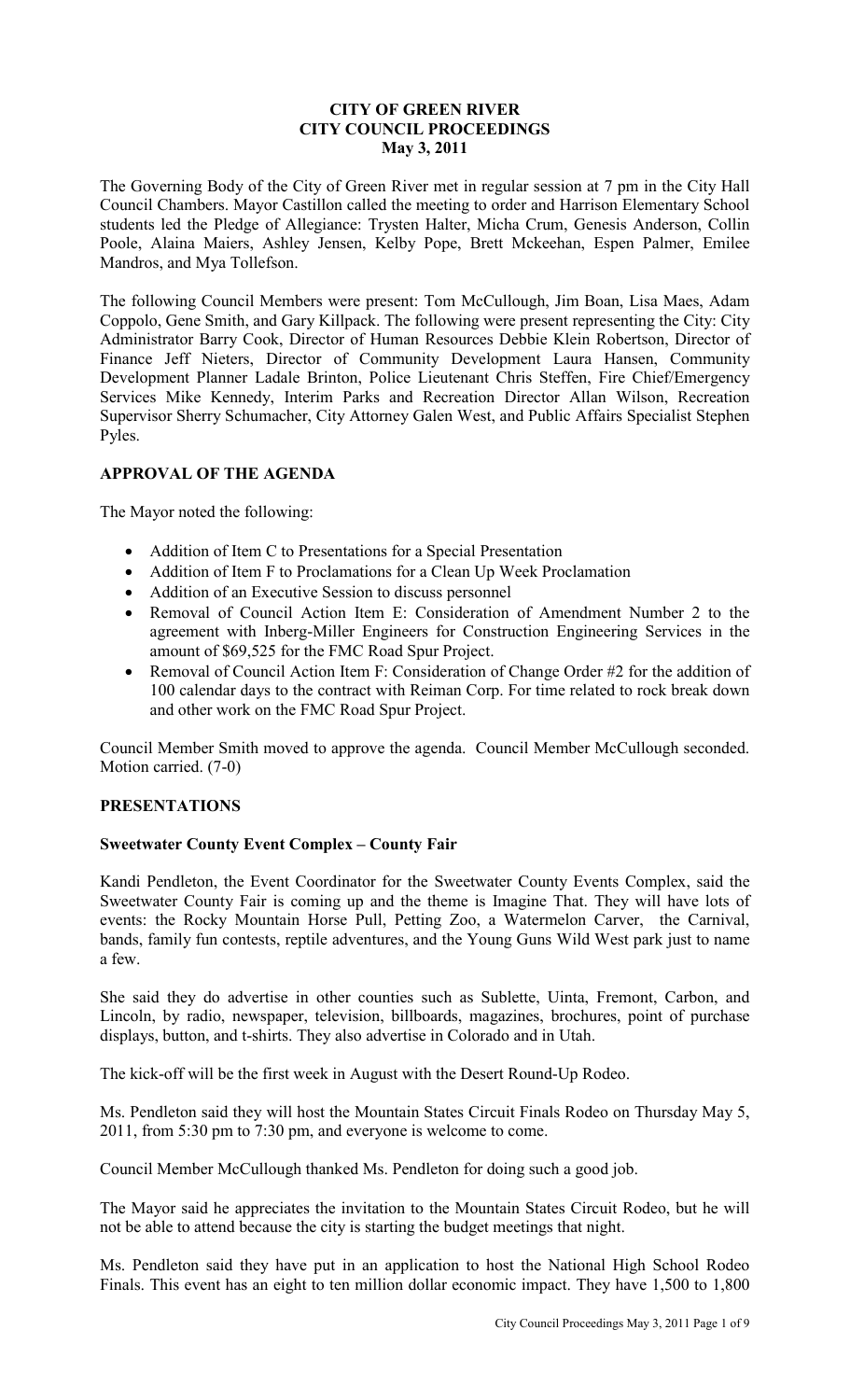### **CITY OF GREEN RIVER CITY COUNCIL PROCEEDINGS May 3, 2011**

The Governing Body of the City of Green River met in regular session at 7 pm in the City Hall Council Chambers. Mayor Castillon called the meeting to order and Harrison Elementary School students led the Pledge of Allegiance: Trysten Halter, Micha Crum, Genesis Anderson, Collin Poole, Alaina Maiers, Ashley Jensen, Kelby Pope, Brett Mckeehan, Espen Palmer, Emilee Mandros, and Mya Tollefson.

The following Council Members were present: Tom McCullough, Jim Boan, Lisa Maes, Adam Coppolo, Gene Smith, and Gary Killpack. The following were present representing the City: City Administrator Barry Cook, Director of Human Resources Debbie Klein Robertson, Director of Finance Jeff Nieters, Director of Community Development Laura Hansen, Community Development Planner Ladale Brinton, Police Lieutenant Chris Steffen, Fire Chief/Emergency Services Mike Kennedy, Interim Parks and Recreation Director Allan Wilson, Recreation Supervisor Sherry Schumacher, City Attorney Galen West, and Public Affairs Specialist Stephen Pyles.

### **APPROVAL OF THE AGENDA**

The Mayor noted the following:

- Addition of Item C to Presentations for a Special Presentation
- Addition of Item F to Proclamations for a Clean Up Week Proclamation
- Addition of an Executive Session to discuss personnel
- Removal of Council Action Item E: Consideration of Amendment Number 2 to the agreement with Inberg-Miller Engineers for Construction Engineering Services in the amount of \$69,525 for the FMC Road Spur Project.
- Removal of Council Action Item F: Consideration of Change Order #2 for the addition of 100 calendar days to the contract with Reiman Corp. For time related to rock break down and other work on the FMC Road Spur Project.

Council Member Smith moved to approve the agenda. Council Member McCullough seconded. Motion carried. (7-0)

### **PRESENTATIONS**

### **Sweetwater County Event Complex – County Fair**

Kandi Pendleton, the Event Coordinator for the Sweetwater County Events Complex, said the Sweetwater County Fair is coming up and the theme is Imagine That. They will have lots of events: the Rocky Mountain Horse Pull, Petting Zoo, a Watermelon Carver, the Carnival, bands, family fun contests, reptile adventures, and the Young Guns Wild West park just to name a few.

She said they do advertise in other counties such as Sublette, Uinta, Fremont, Carbon, and Lincoln, by radio, newspaper, television, billboards, magazines, brochures, point of purchase displays, button, and t-shirts. They also advertise in Colorado and in Utah.

The kick-off will be the first week in August with the Desert Round-Up Rodeo.

Ms. Pendleton said they will host the Mountain States Circuit Finals Rodeo on Thursday May 5, 2011, from 5:30 pm to 7:30 pm, and everyone is welcome to come.

Council Member McCullough thanked Ms. Pendleton for doing such a good job.

The Mayor said he appreciates the invitation to the Mountain States Circuit Rodeo, but he will not be able to attend because the city is starting the budget meetings that night.

Ms. Pendleton said they have put in an application to host the National High School Rodeo Finals. This event has an eight to ten million dollar economic impact. They have 1,500 to 1,800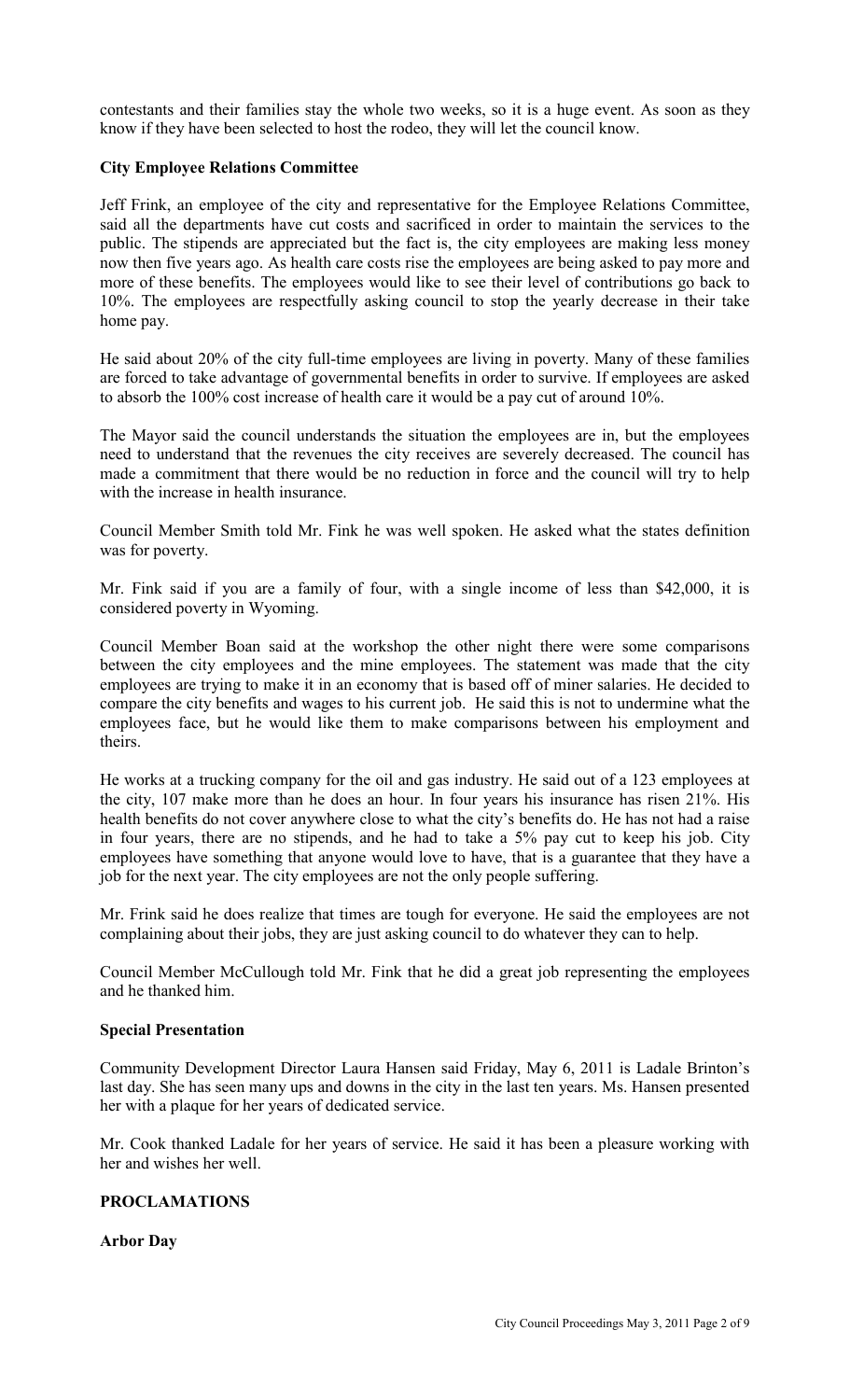contestants and their families stay the whole two weeks, so it is a huge event. As soon as they know if they have been selected to host the rodeo, they will let the council know.

### **City Employee Relations Committee**

Jeff Frink, an employee of the city and representative for the Employee Relations Committee, said all the departments have cut costs and sacrificed in order to maintain the services to the public. The stipends are appreciated but the fact is, the city employees are making less money now then five years ago. As health care costs rise the employees are being asked to pay more and more of these benefits. The employees would like to see their level of contributions go back to 10%. The employees are respectfully asking council to stop the yearly decrease in their take home pay.

He said about 20% of the city full-time employees are living in poverty. Many of these families are forced to take advantage of governmental benefits in order to survive. If employees are asked to absorb the 100% cost increase of health care it would be a pay cut of around 10%.

The Mayor said the council understands the situation the employees are in, but the employees need to understand that the revenues the city receives are severely decreased. The council has made a commitment that there would be no reduction in force and the council will try to help with the increase in health insurance

Council Member Smith told Mr. Fink he was well spoken. He asked what the states definition was for poverty.

Mr. Fink said if you are a family of four, with a single income of less than \$42,000, it is considered poverty in Wyoming.

Council Member Boan said at the workshop the other night there were some comparisons between the city employees and the mine employees. The statement was made that the city employees are trying to make it in an economy that is based off of miner salaries. He decided to compare the city benefits and wages to his current job. He said this is not to undermine what the employees face, but he would like them to make comparisons between his employment and theirs.

He works at a trucking company for the oil and gas industry. He said out of a 123 employees at the city, 107 make more than he does an hour. In four years his insurance has risen 21%. His health benefits do not cover anywhere close to what the city's benefits do. He has not had a raise in four years, there are no stipends, and he had to take a 5% pay cut to keep his job. City employees have something that anyone would love to have, that is a guarantee that they have a job for the next year. The city employees are not the only people suffering.

Mr. Frink said he does realize that times are tough for everyone. He said the employees are not complaining about their jobs, they are just asking council to do whatever they can to help.

Council Member McCullough told Mr. Fink that he did a great job representing the employees and he thanked him.

### **Special Presentation**

Community Development Director Laura Hansen said Friday, May 6, 2011 is Ladale Brinton's last day. She has seen many ups and downs in the city in the last ten years. Ms. Hansen presented her with a plaque for her years of dedicated service.

Mr. Cook thanked Ladale for her years of service. He said it has been a pleasure working with her and wishes her well.

## **PROCLAMATIONS**

**Arbor Day**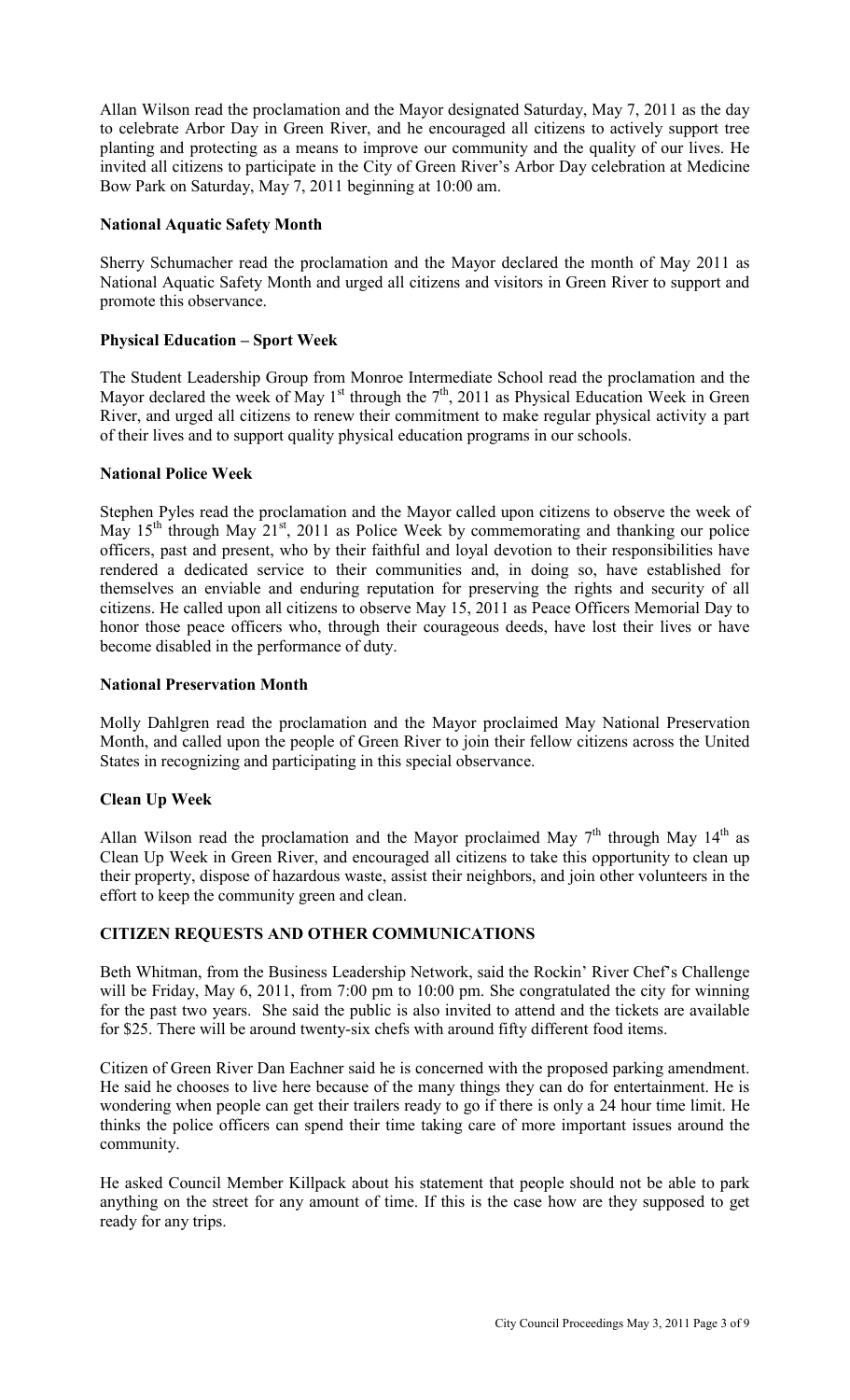Allan Wilson read the proclamation and the Mayor designated Saturday, May 7, 2011 as the day to celebrate Arbor Day in Green River, and he encouraged all citizens to actively support tree planting and protecting as a means to improve our community and the quality of our lives. He invited all citizens to participate in the City of Green River's Arbor Day celebration at Medicine Bow Park on Saturday, May 7, 2011 beginning at 10:00 am.

### **National Aquatic Safety Month**

Sherry Schumacher read the proclamation and the Mayor declared the month of May 2011 as National Aquatic Safety Month and urged all citizens and visitors in Green River to support and promote this observance.

### **Physical Education – Sport Week**

The Student Leadership Group from Monroe Intermediate School read the proclamation and the Mayor declared the week of May 1<sup>st</sup> through the  $7<sup>th</sup>$ , 2011 as Physical Education Week in Green River, and urged all citizens to renew their commitment to make regular physical activity a part of their lives and to support quality physical education programs in our schools.

### **National Police Week**

Stephen Pyles read the proclamation and the Mayor called upon citizens to observe the week of May  $15<sup>th</sup>$  through May  $21<sup>st</sup>$ , 2011 as Police Week by commemorating and thanking our police officers, past and present, who by their faithful and loyal devotion to their responsibilities have rendered a dedicated service to their communities and, in doing so, have established for themselves an enviable and enduring reputation for preserving the rights and security of all citizens. He called upon all citizens to observe May 15, 2011 as Peace Officers Memorial Day to honor those peace officers who, through their courageous deeds, have lost their lives or have become disabled in the performance of duty.

### **National Preservation Month**

Molly Dahlgren read the proclamation and the Mayor proclaimed May National Preservation Month, and called upon the people of Green River to join their fellow citizens across the United States in recognizing and participating in this special observance.

### **Clean Up Week**

Allan Wilson read the proclamation and the Mayor proclaimed May  $7<sup>th</sup>$  through May  $14<sup>th</sup>$  as Clean Up Week in Green River, and encouraged all citizens to take this opportunity to clean up their property, dispose of hazardous waste, assist their neighbors, and join other volunteers in the effort to keep the community green and clean.

### **CITIZEN REQUESTS AND OTHER COMMUNICATIONS**

Beth Whitman, from the Business Leadership Network, said the Rockin' River Chef's Challenge will be Friday, May 6, 2011, from 7:00 pm to 10:00 pm. She congratulated the city for winning for the past two years. She said the public is also invited to attend and the tickets are available for \$25. There will be around twenty-six chefs with around fifty different food items.

Citizen of Green River Dan Eachner said he is concerned with the proposed parking amendment. He said he chooses to live here because of the many things they can do for entertainment. He is wondering when people can get their trailers ready to go if there is only a 24 hour time limit. He thinks the police officers can spend their time taking care of more important issues around the community.

He asked Council Member Killpack about his statement that people should not be able to park anything on the street for any amount of time. If this is the case how are they supposed to get ready for any trips.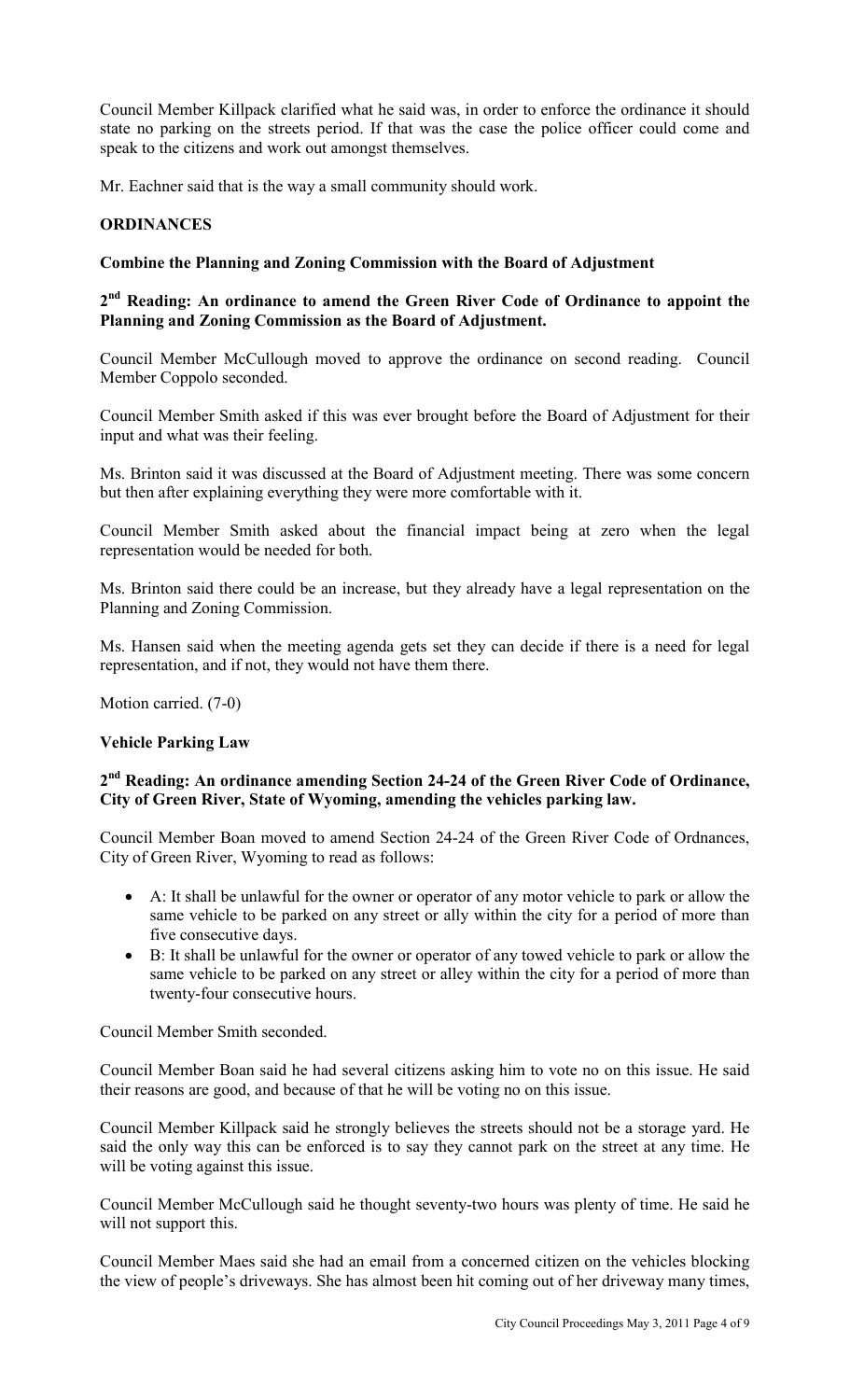Council Member Killpack clarified what he said was, in order to enforce the ordinance it should state no parking on the streets period. If that was the case the police officer could come and speak to the citizens and work out amongst themselves.

Mr. Eachner said that is the way a small community should work.

#### **ORDINANCES**

#### **Combine the Planning and Zoning Commission with the Board of Adjustment**

## **2 nd Reading: An ordinance to amend the Green River Code of Ordinance to appoint the Planning and Zoning Commission as the Board of Adjustment.**

Council Member McCullough moved to approve the ordinance on second reading. Council Member Coppolo seconded.

Council Member Smith asked if this was ever brought before the Board of Adjustment for their input and what was their feeling.

Ms. Brinton said it was discussed at the Board of Adjustment meeting. There was some concern but then after explaining everything they were more comfortable with it.

Council Member Smith asked about the financial impact being at zero when the legal representation would be needed for both.

Ms. Brinton said there could be an increase, but they already have a legal representation on the Planning and Zoning Commission.

Ms. Hansen said when the meeting agenda gets set they can decide if there is a need for legal representation, and if not, they would not have them there.

Motion carried. (7-0)

#### **Vehicle Parking Law**

## **2 nd Reading: An ordinance amending Section 24-24 of the Green River Code of Ordinance, City of Green River, State of Wyoming, amending the vehicles parking law.**

Council Member Boan moved to amend Section 24-24 of the Green River Code of Ordnances, City of Green River, Wyoming to read as follows:

- A: It shall be unlawful for the owner or operator of any motor vehicle to park or allow the same vehicle to be parked on any street or ally within the city for a period of more than five consecutive days.
- B: It shall be unlawful for the owner or operator of any towed vehicle to park or allow the same vehicle to be parked on any street or alley within the city for a period of more than twenty-four consecutive hours.

Council Member Smith seconded.

Council Member Boan said he had several citizens asking him to vote no on this issue. He said their reasons are good, and because of that he will be voting no on this issue.

Council Member Killpack said he strongly believes the streets should not be a storage yard. He said the only way this can be enforced is to say they cannot park on the street at any time. He will be voting against this issue.

Council Member McCullough said he thought seventy-two hours was plenty of time. He said he will not support this.

Council Member Maes said she had an email from a concerned citizen on the vehicles blocking the view of people's driveways. She has almost been hit coming out of her driveway many times,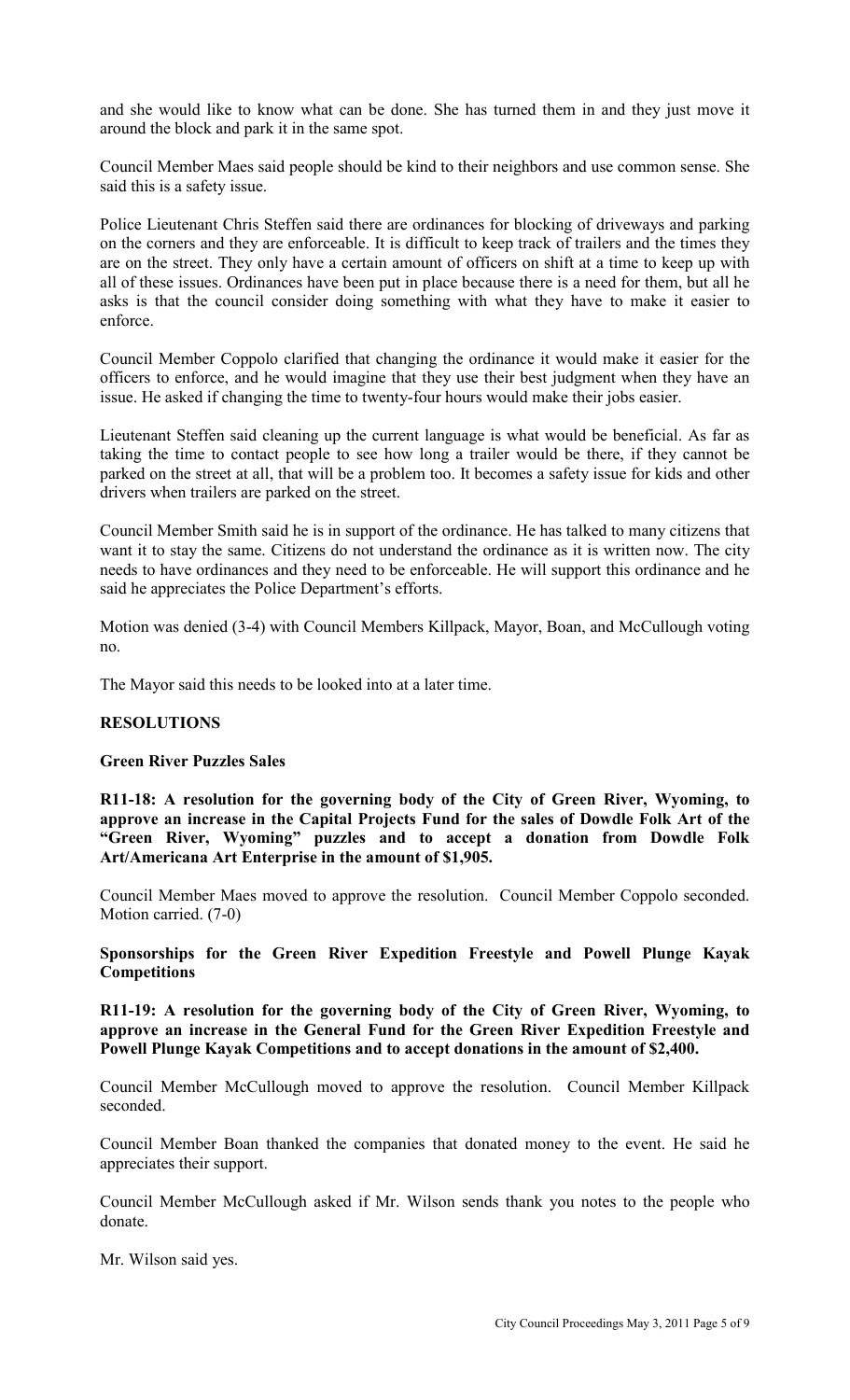and she would like to know what can be done. She has turned them in and they just move it around the block and park it in the same spot.

Council Member Maes said people should be kind to their neighbors and use common sense. She said this is a safety issue.

Police Lieutenant Chris Steffen said there are ordinances for blocking of driveways and parking on the corners and they are enforceable. It is difficult to keep track of trailers and the times they are on the street. They only have a certain amount of officers on shift at a time to keep up with all of these issues. Ordinances have been put in place because there is a need for them, but all he asks is that the council consider doing something with what they have to make it easier to enforce.

Council Member Coppolo clarified that changing the ordinance it would make it easier for the officers to enforce, and he would imagine that they use their best judgment when they have an issue. He asked if changing the time to twenty-four hours would make their jobs easier.

Lieutenant Steffen said cleaning up the current language is what would be beneficial. As far as taking the time to contact people to see how long a trailer would be there, if they cannot be parked on the street at all, that will be a problem too. It becomes a safety issue for kids and other drivers when trailers are parked on the street.

Council Member Smith said he is in support of the ordinance. He has talked to many citizens that want it to stay the same. Citizens do not understand the ordinance as it is written now. The city needs to have ordinances and they need to be enforceable. He will support this ordinance and he said he appreciates the Police Department's efforts.

Motion was denied (3-4) with Council Members Killpack, Mayor, Boan, and McCullough voting no.

The Mayor said this needs to be looked into at a later time.

### **RESOLUTIONS**

### **Green River Puzzles Sales**

**R11-18: A resolution for the governing body of the City of Green River, Wyoming, to approve an increase in the Capital Projects Fund for the sales of Dowdle Folk Art of the "Green River, Wyoming" puzzles and to accept a donation from Dowdle Folk Art/Americana Art Enterprise in the amount of \$1,905.** 

Council Member Maes moved to approve the resolution. Council Member Coppolo seconded. Motion carried. (7-0)

### **Sponsorships for the Green River Expedition Freestyle and Powell Plunge Kayak Competitions**

**R11-19: A resolution for the governing body of the City of Green River, Wyoming, to approve an increase in the General Fund for the Green River Expedition Freestyle and Powell Plunge Kayak Competitions and to accept donations in the amount of \$2,400.**

Council Member McCullough moved to approve the resolution. Council Member Killpack seconded.

Council Member Boan thanked the companies that donated money to the event. He said he appreciates their support.

Council Member McCullough asked if Mr. Wilson sends thank you notes to the people who donate.

Mr. Wilson said yes.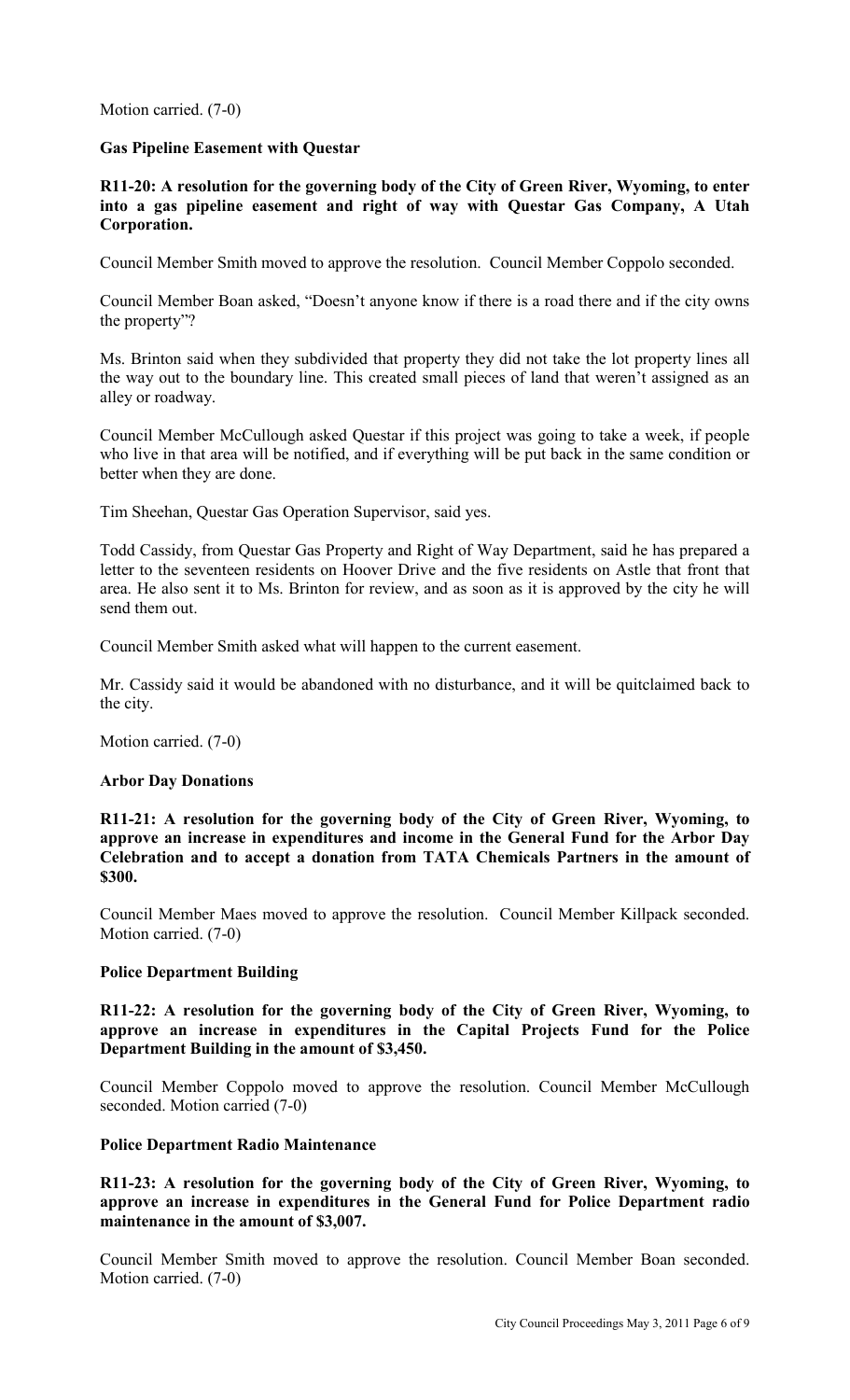Motion carried. (7-0)

#### **Gas Pipeline Easement with Questar**

**R11-20: A resolution for the governing body of the City of Green River, Wyoming, to enter into a gas pipeline easement and right of way with Questar Gas Company, A Utah Corporation.** 

Council Member Smith moved to approve the resolution. Council Member Coppolo seconded.

Council Member Boan asked, "Doesn't anyone know if there is a road there and if the city owns the property"?

Ms. Brinton said when they subdivided that property they did not take the lot property lines all the way out to the boundary line. This created small pieces of land that weren't assigned as an alley or roadway.

Council Member McCullough asked Questar if this project was going to take a week, if people who live in that area will be notified, and if everything will be put back in the same condition or better when they are done.

Tim Sheehan, Questar Gas Operation Supervisor, said yes.

Todd Cassidy, from Questar Gas Property and Right of Way Department, said he has prepared a letter to the seventeen residents on Hoover Drive and the five residents on Astle that front that area. He also sent it to Ms. Brinton for review, and as soon as it is approved by the city he will send them out.

Council Member Smith asked what will happen to the current easement.

Mr. Cassidy said it would be abandoned with no disturbance, and it will be quitclaimed back to the city.

Motion carried. (7-0)

#### **Arbor Day Donations**

**R11-21: A resolution for the governing body of the City of Green River, Wyoming, to approve an increase in expenditures and income in the General Fund for the Arbor Day Celebration and to accept a donation from TATA Chemicals Partners in the amount of \$300.** 

Council Member Maes moved to approve the resolution. Council Member Killpack seconded. Motion carried. (7-0)

### **Police Department Building**

**R11-22: A resolution for the governing body of the City of Green River, Wyoming, to approve an increase in expenditures in the Capital Projects Fund for the Police Department Building in the amount of \$3,450.** 

Council Member Coppolo moved to approve the resolution. Council Member McCullough seconded. Motion carried (7-0)

#### **Police Department Radio Maintenance**

**R11-23: A resolution for the governing body of the City of Green River, Wyoming, to approve an increase in expenditures in the General Fund for Police Department radio maintenance in the amount of \$3,007.** 

Council Member Smith moved to approve the resolution. Council Member Boan seconded. Motion carried. (7-0)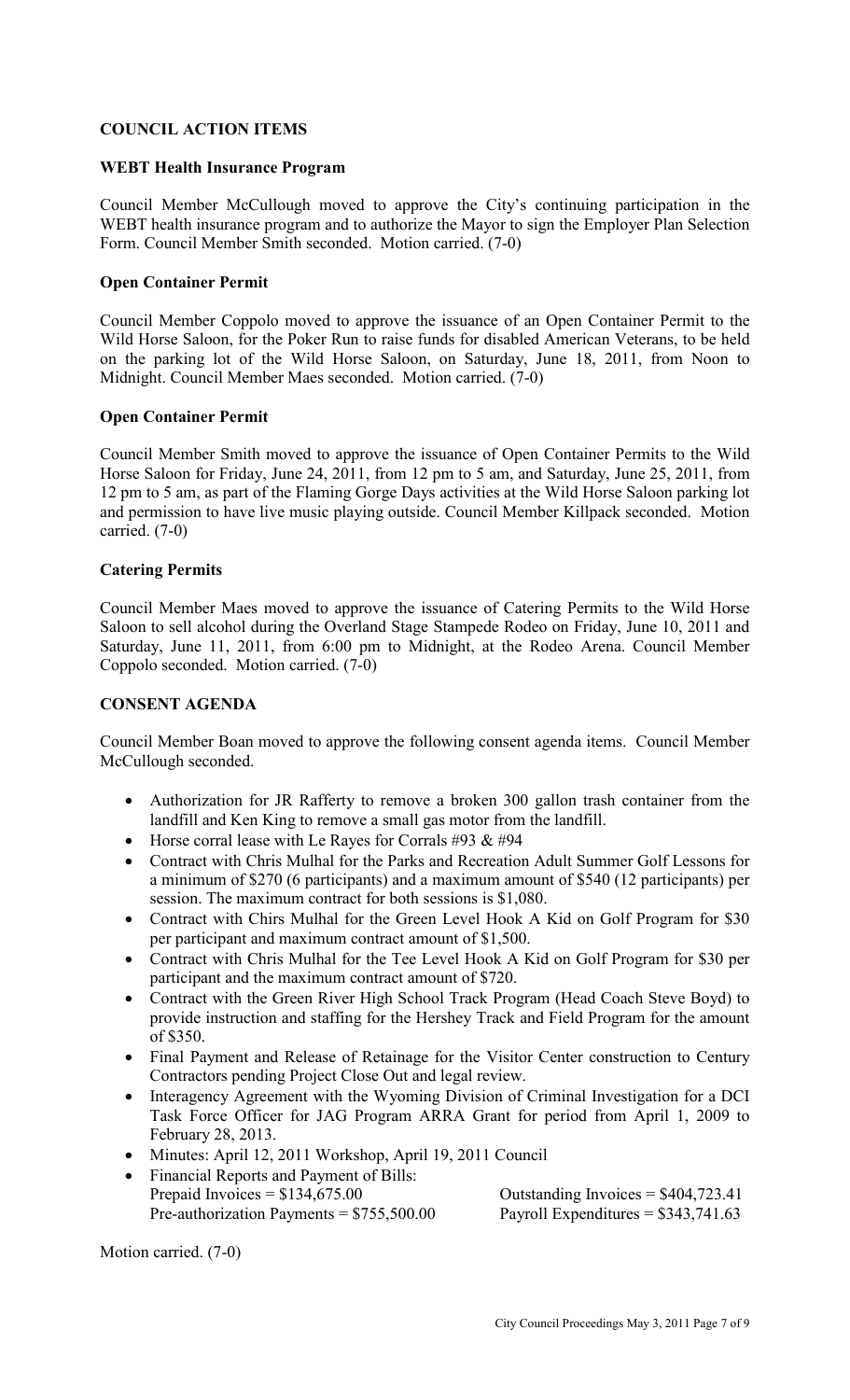## **COUNCIL ACTION ITEMS**

#### **WEBT Health Insurance Program**

Council Member McCullough moved to approve the City's continuing participation in the WEBT health insurance program and to authorize the Mayor to sign the Employer Plan Selection Form. Council Member Smith seconded. Motion carried. (7-0)

### **Open Container Permit**

Council Member Coppolo moved to approve the issuance of an Open Container Permit to the Wild Horse Saloon, for the Poker Run to raise funds for disabled American Veterans, to be held on the parking lot of the Wild Horse Saloon, on Saturday, June 18, 2011, from Noon to Midnight. Council Member Maes seconded. Motion carried. (7-0)

#### **Open Container Permit**

Council Member Smith moved to approve the issuance of Open Container Permits to the Wild Horse Saloon for Friday, June 24, 2011, from 12 pm to 5 am, and Saturday, June 25, 2011, from 12 pm to 5 am, as part of the Flaming Gorge Days activities at the Wild Horse Saloon parking lot and permission to have live music playing outside. Council Member Killpack seconded. Motion carried. (7-0)

#### **Catering Permits**

Council Member Maes moved to approve the issuance of Catering Permits to the Wild Horse Saloon to sell alcohol during the Overland Stage Stampede Rodeo on Friday, June 10, 2011 and Saturday, June 11, 2011, from 6:00 pm to Midnight, at the Rodeo Arena. Council Member Coppolo seconded. Motion carried. (7-0)

#### **CONSENT AGENDA**

Council Member Boan moved to approve the following consent agenda items. Council Member McCullough seconded.

- Authorization for JR Rafferty to remove a broken 300 gallon trash container from the landfill and Ken King to remove a small gas motor from the landfill.
- Horse corral lease with Le Rayes for Corrals #93  $& 494$
- Contract with Chris Mulhal for the Parks and Recreation Adult Summer Golf Lessons for a minimum of \$270 (6 participants) and a maximum amount of \$540 (12 participants) per session. The maximum contract for both sessions is \$1,080.
- Contract with Chirs Mulhal for the Green Level Hook A Kid on Golf Program for \$30 per participant and maximum contract amount of \$1,500.
- Contract with Chris Mulhal for the Tee Level Hook A Kid on Golf Program for \$30 per participant and the maximum contract amount of \$720.
- Contract with the Green River High School Track Program (Head Coach Steve Boyd) to provide instruction and staffing for the Hershey Track and Field Program for the amount of \$350.
- Final Payment and Release of Retainage for the Visitor Center construction to Century Contractors pending Project Close Out and legal review.
- Interagency Agreement with the Wyoming Division of Criminal Investigation for a DCI Task Force Officer for JAG Program ARRA Grant for period from April 1, 2009 to February 28, 2013.
- Minutes: April 12, 2011 Workshop, April 19, 2011 Council
- Financial Reports and Payment of Bills: Prepaid Invoices =  $$134,675.00$  Outstanding Invoices =  $$404,723.41$ Pre-authorization Payments =  $$755,500.00$  Payroll Expenditures =  $$343,741.63$

Motion carried. (7-0)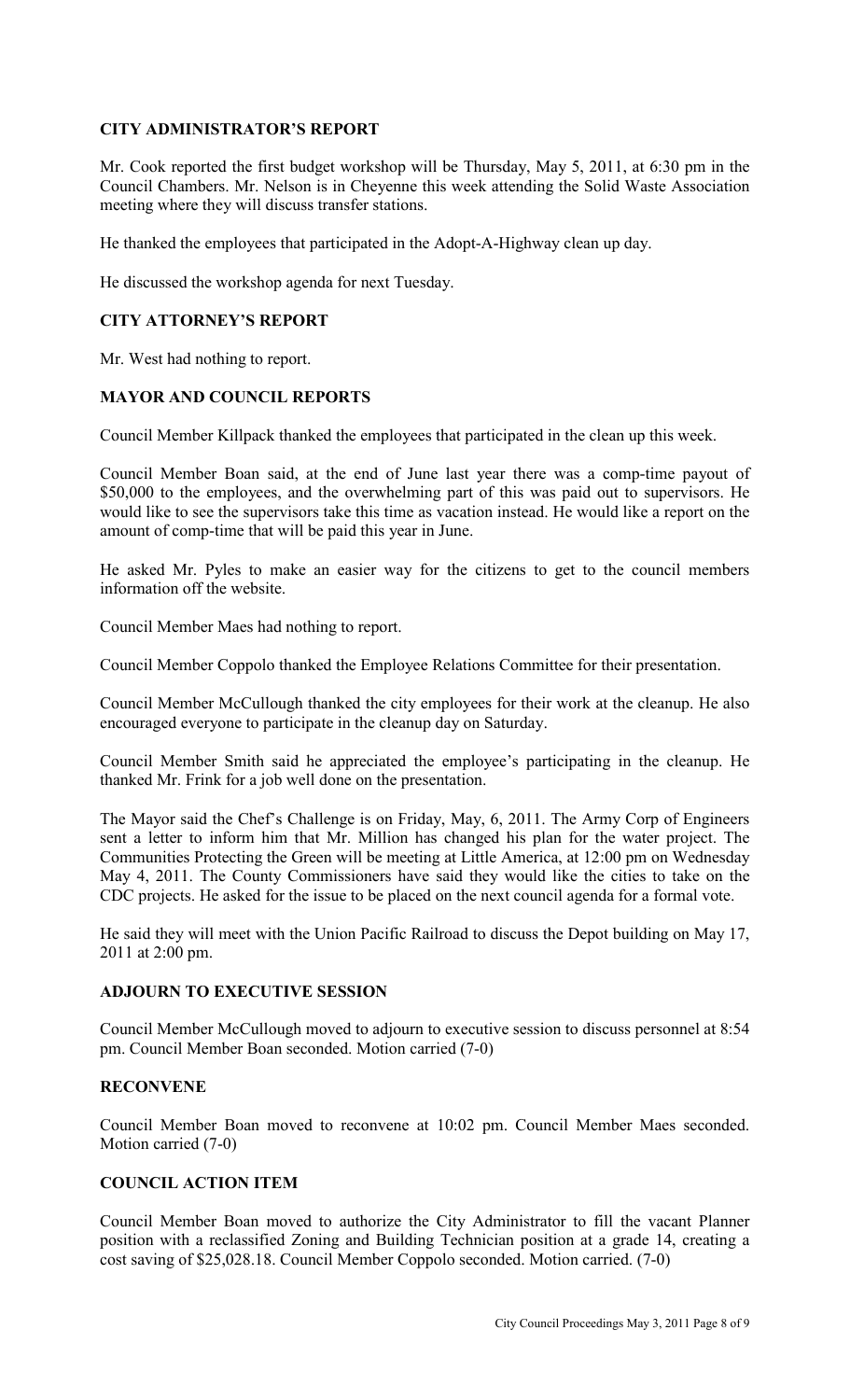## **CITY ADMINISTRATOR'S REPORT**

Mr. Cook reported the first budget workshop will be Thursday, May 5, 2011, at 6:30 pm in the Council Chambers. Mr. Nelson is in Cheyenne this week attending the Solid Waste Association meeting where they will discuss transfer stations.

He thanked the employees that participated in the Adopt-A-Highway clean up day.

He discussed the workshop agenda for next Tuesday.

### **CITY ATTORNEY'S REPORT**

Mr. West had nothing to report.

#### **MAYOR AND COUNCIL REPORTS**

Council Member Killpack thanked the employees that participated in the clean up this week.

Council Member Boan said, at the end of June last year there was a comp-time payout of \$50,000 to the employees, and the overwhelming part of this was paid out to supervisors. He would like to see the supervisors take this time as vacation instead. He would like a report on the amount of comp-time that will be paid this year in June.

He asked Mr. Pyles to make an easier way for the citizens to get to the council members information off the website.

Council Member Maes had nothing to report.

Council Member Coppolo thanked the Employee Relations Committee for their presentation.

Council Member McCullough thanked the city employees for their work at the cleanup. He also encouraged everyone to participate in the cleanup day on Saturday.

Council Member Smith said he appreciated the employee's participating in the cleanup. He thanked Mr. Frink for a job well done on the presentation.

The Mayor said the Chef's Challenge is on Friday, May, 6, 2011. The Army Corp of Engineers sent a letter to inform him that Mr. Million has changed his plan for the water project. The Communities Protecting the Green will be meeting at Little America, at 12:00 pm on Wednesday May 4, 2011. The County Commissioners have said they would like the cities to take on the CDC projects. He asked for the issue to be placed on the next council agenda for a formal vote.

He said they will meet with the Union Pacific Railroad to discuss the Depot building on May 17, 2011 at 2:00 pm.

#### **ADJOURN TO EXECUTIVE SESSION**

Council Member McCullough moved to adjourn to executive session to discuss personnel at 8:54 pm. Council Member Boan seconded. Motion carried (7-0)

#### **RECONVENE**

Council Member Boan moved to reconvene at 10:02 pm. Council Member Maes seconded. Motion carried (7-0)

## **COUNCIL ACTION ITEM**

Council Member Boan moved to authorize the City Administrator to fill the vacant Planner position with a reclassified Zoning and Building Technician position at a grade 14, creating a cost saving of \$25,028.18. Council Member Coppolo seconded. Motion carried. (7-0)